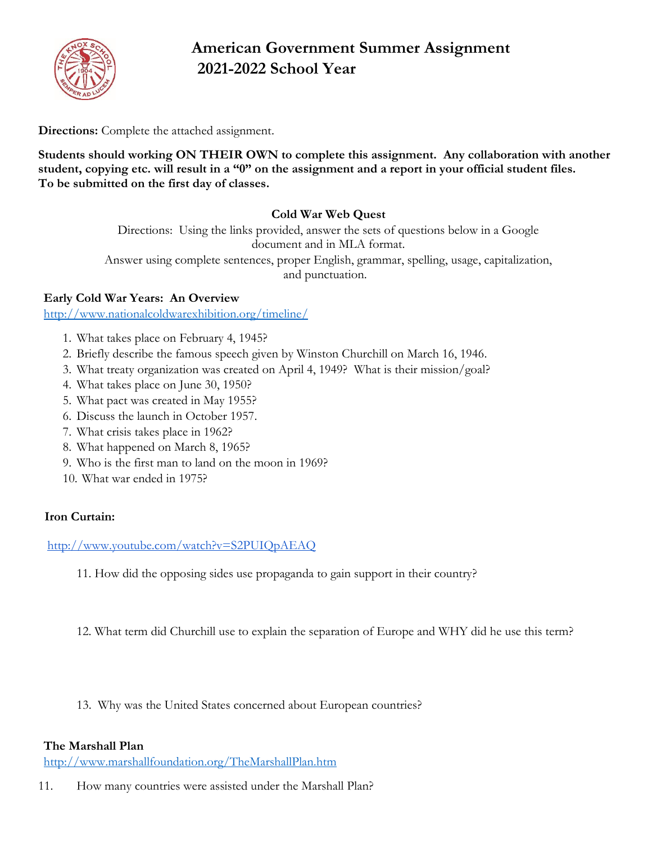

# **American Government Summer Assignment 2021-2022 School Year**

**Directions:** Complete the attached assignment.

**Students should working ON THEIR OWN to complete this assignment. Any collaboration with another student, copying etc. will result in a "0" on the assignment and a report in your official student files. To be submitted on the first day of classes.**

# **Cold War Web Quest**

Directions: Using the links provided, answer the sets of questions below in a Google document and in MLA format. Answer using complete sentences, proper English, grammar, spelling, usage, capitalization,

and punctuation.

#### **Early Cold War Years: An Overview**

<http://www.nationalcoldwarexhibition.org/timeline/>

- 1. What takes place on February 4, 1945?
- 2. Briefly describe the famous speech given by Winston Churchill on March 16, 1946.
- 3. What treaty organization was created on April 4, 1949? What is their mission/goal?
- 4. What takes place on June 30, 1950?
- 5. What pact was created in May 1955?
- 6. Discuss the launch in October 1957.
- 7. What crisis takes place in 1962?
- 8. What happened on March 8, 1965?
- 9. Who is the first man to land on the moon in 1969?
- 10. What war ended in 1975?

#### **Iron Curtain:**

<http://www.youtube.com/watch?v=S2PUIQpAEAQ>

- 11. How did the opposing sides use propaganda to gain support in their country?
- 12. What term did Churchill use to explain the separation of Europe and WHY did he use this term?
- 13. Why was the United States concerned about European countries?

#### **The Marshall Plan**

<http://www.marshallfoundation.org/TheMarshallPlan.htm>

11. How many countries were assisted under the Marshall Plan?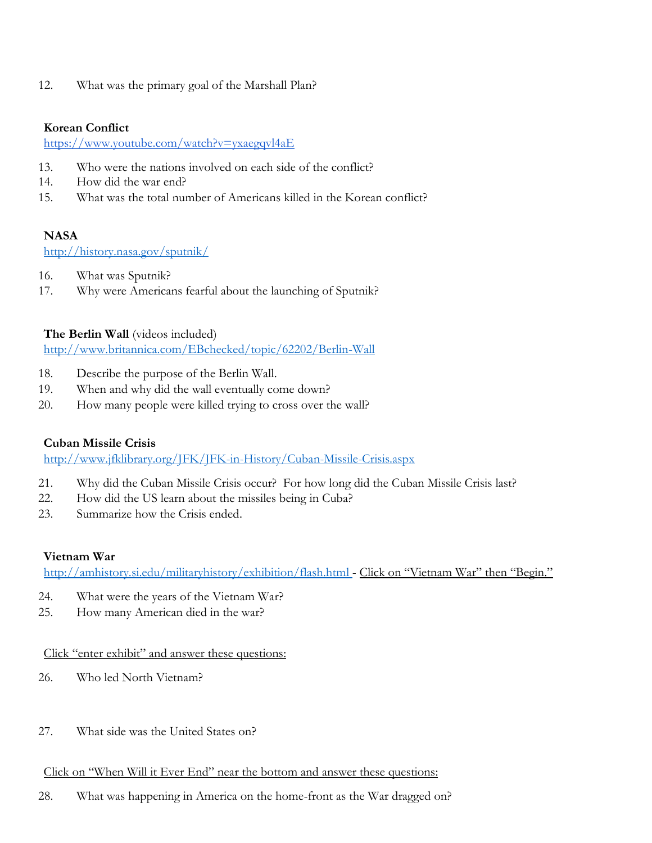12. What was the primary goal of the Marshall Plan?

#### **Korean Conflict**

<https://www.youtube.com/watch?v=yxaegqvl4aE>

- 13. Who were the nations involved on each side of the conflict?
- 14. How did the war end?
- 15. What was the total number of Americans killed in the Korean conflict?

# **NASA**

<http://history.nasa.gov/sputnik/>

- 16. What was Sputnik?
- 17. Why were Americans fearful about the launching of Sputnik?

### **The Berlin Wall** (videos included)

<http://www.britannica.com/EBchecked/topic/62202/Berlin-Wall>

- 18. Describe the purpose of the Berlin Wall.
- 19. When and why did the wall eventually come down?
- 20. How many people were killed trying to cross over the wall?

# **Cuban Missile Crisis**

<http://www.jfklibrary.org/JFK/JFK-in-History/Cuban-Missile-Crisis.aspx>

- 21. Why did the Cuban Missile Crisis occur? For how long did the Cuban Missile Crisis last?
- 22. How did the US learn about the missiles being in Cuba?
- 23. Summarize how the Crisis ended.

# **Vietnam War**

<http://amhistory.si.edu/militaryhistory/exhibition/flash.html> - Click on "Vietnam War" then "Begin."

- 24. What were the years of the Vietnam War?
- 25. How many American died in the war?

# Click "enter exhibit" and answer these questions:

- 26. Who led North Vietnam?
- 27. What side was the United States on?

# Click on "When Will it Ever End" near the bottom and answer these questions:

28. What was happening in America on the home-front as the War dragged on?